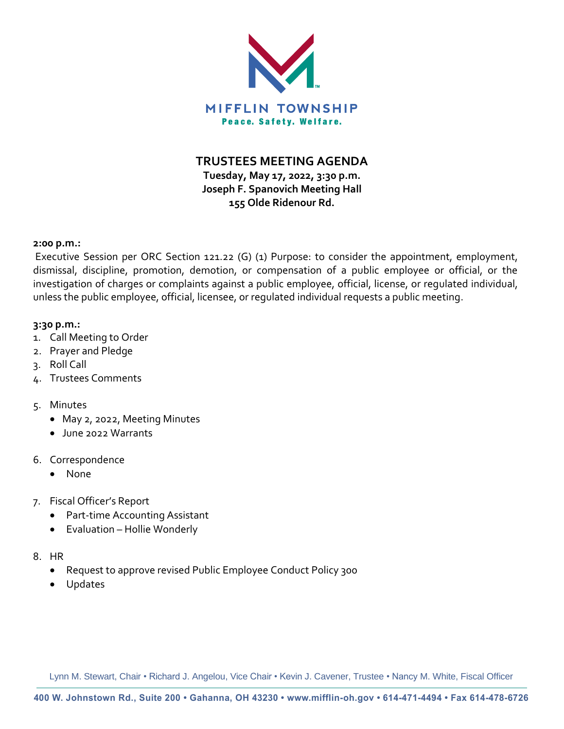

**TRUSTEES MEETING AGENDA**

**Tuesday, May 17, 2022, 3:30 p.m. Joseph F. Spanovich Meeting Hall 155 Olde Ridenour Rd.**

#### **2:00 p.m.:**

Executive Session per ORC Section 121.22 (G) (1) Purpose: to consider the appointment, employment, dismissal, discipline, promotion, demotion, or compensation of a public employee or official, or the investigation of charges or complaints against a public employee, official, license, or regulated individual, unless the public employee, official, licensee, or regulated individual requests a public meeting.

#### **3:30 p.m.:**

- 1. Call Meeting to Order
- 2. Prayer and Pledge
- 3. Roll Call
- 4. Trustees Comments

# 5. Minutes

- May 2, 2022, Meeting Minutes
- June 2022 Warrants
- 6. Correspondence
	- None
- 7. Fiscal Officer's Report
	- Part-time Accounting Assistant
	- Evaluation Hollie Wonderly
- 8. HR
	- Request to approve revised Public Employee Conduct Policy 300
	- Updates

Lynn M. Stewart, Chair • Richard J. Angelou, Vice Chair • Kevin J. Cavener, Trustee • Nancy M. White, Fiscal Officer